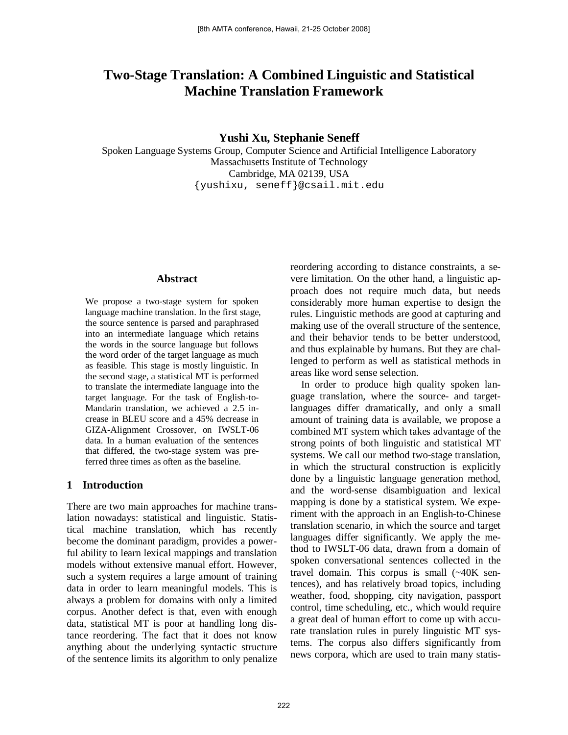# **Two-Stage Translation: A Combined Linguistic and Statistical Machine Translation Framework**

**Yushi Xu, Stephanie Seneff**

Spoken Language Systems Group, Computer Science and Artificial Intelligence Laboratory Massachusetts Institute of Technology Cambridge, MA 02139, USA {yushixu, seneff}@csail.mit.edu

#### **Abstract**

We propose a two-stage system for spoken language machine translation. In the first stage, the source sentence is parsed and paraphrased into an intermediate language which retains the words in the source language but follows the word order of the target language as much as feasible. This stage is mostly linguistic. In the second stage, a statistical MT is performed to translate the intermediate language into the target language. For the task of English-to-Mandarin translation, we achieved a 2.5 increase in BLEU score and a 45% decrease in GIZA-Alignment Crossover, on IWSLT-06 data. In a human evaluation of the sentences that differed, the two-stage system was preferred three times as often as the baseline.

## **1 Introduction**

There are two main approaches for machine translation nowadays: statistical and linguistic. Statistical machine translation, which has recently become the dominant paradigm, provides a powerful ability to learn lexical mappings and translation models without extensive manual effort. However, such a system requires a large amount of training data in order to learn meaningful models. This is always a problem for domains with only a limited corpus. Another defect is that, even with enough data, statistical MT is poor at handling long distance reordering. The fact that it does not know anything about the underlying syntactic structure of the sentence limits its algorithm to only penalize

reordering according to distance constraints, a severe limitation. On the other hand, a linguistic approach does not require much data, but needs considerably more human expertise to design the rules. Linguistic methods are good at capturing and making use of the overall structure of the sentence, and their behavior tends to be better understood, and thus explainable by humans. But they are challenged to perform as well as statistical methods in areas like word sense selection.

In order to produce high quality spoken language translation, where the source- and targetlanguages differ dramatically, and only a small amount of training data is available, we propose a combined MT system which takes advantage of the strong points of both linguistic and statistical MT systems. We call our method two-stage translation, in which the structural construction is explicitly done by a linguistic language generation method, and the word-sense disambiguation and lexical mapping is done by a statistical system. We experiment with the approach in an English-to-Chinese translation scenario, in which the source and target languages differ significantly. We apply the method to IWSLT-06 data, drawn from a domain of spoken conversational sentences collected in the travel domain. This corpus is small (~40K sentences), and has relatively broad topics, including weather, food, shopping, city navigation, passport control, time scheduling, etc., which would require a great deal of human effort to come up with accurate translation rules in purely linguistic MT systems. The corpus also differs significantly from news corpora, which are used to train many statis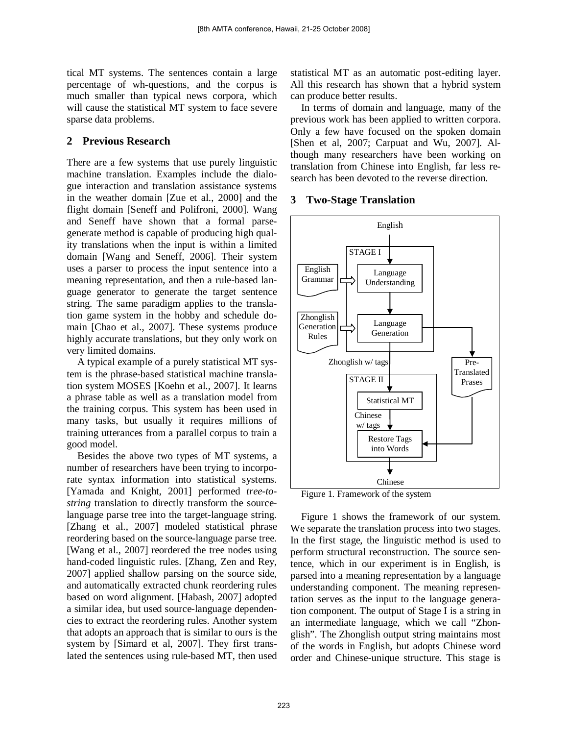tical MT systems. The sentences contain a large percentage of wh-questions, and the corpus is much smaller than typical news corpora, which will cause the statistical MT system to face severe sparse data problems.

## **2 Previous Research**

There are a few systems that use purely linguistic machine translation. Examples include the dialogue interaction and translation assistance systems in the weather domain [Zue et al., 2000] and the flight domain [Seneff and Polifroni, 2000]. Wang and Seneff have shown that a formal parsegenerate method is capable of producing high quality translations when the input is within a limited domain [Wang and Seneff, 2006]. Their system uses a parser to process the input sentence into a meaning representation, and then a rule-based language generator to generate the target sentence string. The same paradigm applies to the translation game system in the hobby and schedule domain [Chao et al., 2007]. These systems produce highly accurate translations, but they only work on very limited domains.

A typical example of a purely statistical MT system is the phrase-based statistical machine translation system MOSES [Koehn et al., 2007]. It learns a phrase table as well as a translation model from the training corpus. This system has been used in many tasks, but usually it requires millions of training utterances from a parallel corpus to train a good model.

Besides the above two types of MT systems, a number of researchers have been trying to incorporate syntax information into statistical systems. [Yamada and Knight, 2001] performed *tree-tostring* translation to directly transform the sourcelanguage parse tree into the target-language string. [Zhang et al., 2007] modeled statistical phrase reordering based on the source-language parse tree. [Wang et al., 2007] reordered the tree nodes using hand-coded linguistic rules. [Zhang, Zen and Rey, 2007] applied shallow parsing on the source side, and automatically extracted chunk reordering rules based on word alignment. [Habash, 2007] adopted a similar idea, but used source-language dependencies to extract the reordering rules. Another system that adopts an approach that is similar to ours is the system by [Simard et al, 2007]. They first translated the sentences using rule-based MT, then used

statistical MT as an automatic post-editing layer. All this research has shown that a hybrid system can produce better results.

In terms of domain and language, many of the previous work has been applied to written corpora. Only a few have focused on the spoken domain [Shen et al, 2007; Carpuat and Wu, 2007]. Although many researchers have been working on translation from Chinese into English, far less research has been devoted to the reverse direction.

## **3 Two-Stage Translation**



<span id="page-1-0"></span>Figure 1. Framework of the system

[Figure 1](#page-1-0) shows the framework of our system. We separate the translation process into two stages. In the first stage, the linguistic method is used to perform structural reconstruction. The source sentence, which in our experiment is in English, is parsed into a meaning representation by a language understanding component. The meaning representation serves as the input to the language generation component. The output of Stage I is a string in an intermediate language, which we call "Zhonglish". The Zhonglish output string maintains most of the words in English, but adopts Chinese word order and Chinese-unique structure. This stage is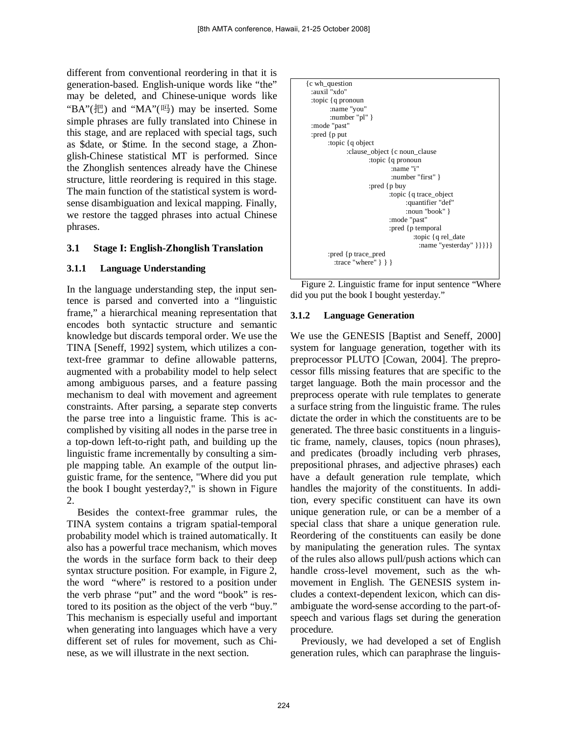different from conventional reordering in that it is generation-based. English-unique words like "the" may be deleted, and Chinese-unique words like "BA"(把) and "MA"(吗) may be inserted. Some simple phrases are fully translated into Chinese in this stage, and are replaced with special tags, such as \$date, or \$time. In the second stage, a Zhonglish-Chinese statistical MT is performed. Since the Zhonglish sentences already have the Chinese structure, little reordering is required in this stage. The main function of the statistical system is wordsense disambiguation and lexical mapping. Finally, we restore the tagged phrases into actual Chinese phrases.

### **3.1 Stage I: English-Zhonglish Translation**

### **3.1.1 Language Understanding**

In the language understanding step, the input sentence is parsed and converted into a "linguistic frame," a hierarchical meaning representation that encodes both syntactic structure and semantic knowledge but discards temporal order. We use the TINA [Seneff, 1992] system, which utilizes a context-free grammar to define allowable patterns, augmented with a probability model to help select among ambiguous parses, and a feature passing mechanism to deal with movement and agreement constraints. After parsing, a separate step converts the parse tree into a linguistic frame. This is accomplished by visiting all nodes in the parse tree in a top-down left-to-right path, and building up the linguistic frame incrementally by consulting a simple mapping table. An example of the output linguistic frame, for the sentence, "Where did you put the book I bought yesterday?," is shown in [Figure](#page-2-0)  [2.](#page-2-0)

Besides the context-free grammar rules, the TINA system contains a trigram spatial-temporal probability model which is trained automatically. It also has a powerful trace mechanism, which moves the words in the surface form back to their deep syntax structure position. For example, in Figure 2, the word "where" is restored to a position under the verb phrase "put" and the word "book" is restored to its position as the object of the verb "buy." This mechanism is especially useful and important when generating into languages which have a very different set of rules for movement, such as Chinese, as we will illustrate in the next section.



<span id="page-2-0"></span>Figure 2. Linguistic frame for input sentence "Where did you put the book I bought yesterday."

### **3.1.2 Language Generation**

We use the GENESIS [Baptist and Seneff, 2000] system for language generation, together with its preprocessor PLUTO [Cowan, 2004]. The preprocessor fills missing features that are specific to the target language. Both the main processor and the preprocess operate with rule templates to generate a surface string from the linguistic frame. The rules dictate the order in which the constituents are to be generated. The three basic constituents in a linguistic frame, namely, clauses, topics (noun phrases), and predicates (broadly including verb phrases, prepositional phrases, and adjective phrases) each have a default generation rule template, which handles the majority of the constituents. In addition, every specific constituent can have its own unique generation rule, or can be a member of a special class that share a unique generation rule. Reordering of the constituents can easily be done by manipulating the generation rules. The syntax of the rules also allows pull/push actions which can handle cross-level movement, such as the whmovement in English. The GENESIS system includes a context-dependent lexicon, which can disambiguate the word-sense according to the part-ofspeech and various flags set during the generation procedure.

Previously, we had developed a set of English generation rules, which can paraphrase the linguis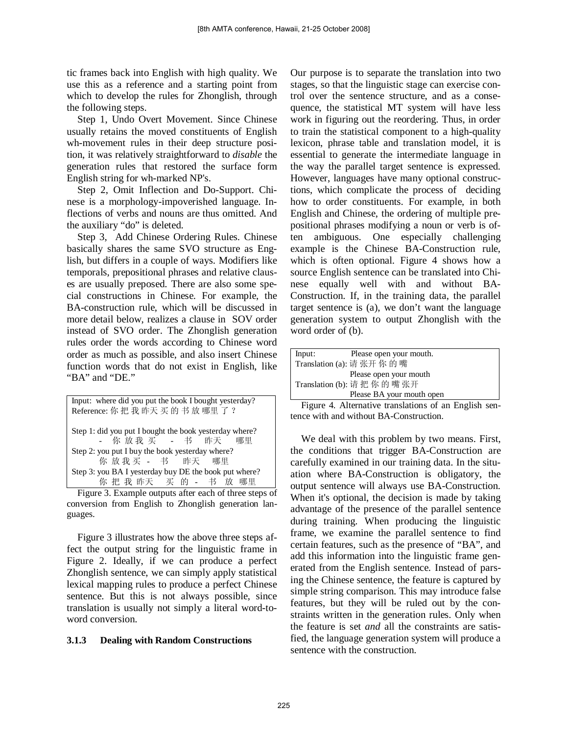<span id="page-3-0"></span>tic frames back into English with high quality. We use this as a reference and a starting point from which to develop the rules for Zhonglish, through the following steps.

Step 1, Undo Overt Movement. Since Chinese usually retains the moved constituents of English wh-movement rules in their deep structure position, it was relatively straightforward to *disable* the generation rules that restored the surface form English string for wh-marked NP's.

Step 2, Omit Inflection and Do-Support. Chinese is a morphology-impoverished language. Inflections of verbs and nouns are thus omitted. And the auxiliary "do" is deleted.

Step 3, Add Chinese Ordering Rules. Chinese basically shares the same SVO structure as English, but differs in a couple of ways. Modifiers like temporals, prepositional phrases and relative clauses are usually preposed. There are also some special constructions in Chinese. For example, the BA-construction rule, which will be discussed in more detail below, realizes a clause in SOV order instead of SVO order. The Zhonglish generation rules order the words according to Chinese word order as much as possible, and also insert Chinese function words that do not exist in English, like "BA" and "DE."

| Input: where did you put the book I bought yesterday?  |  |  |  |
|--------------------------------------------------------|--|--|--|
| Reference: 你 把 我 昨天 买 的 书 放 哪里 了 ?                     |  |  |  |
|                                                        |  |  |  |
| Step 1: did you put I bought the book yesterday where? |  |  |  |
| - 你 放 我 买 - 书 昨天 哪里                                    |  |  |  |
| Step 2: you put I buy the book yesterday where?        |  |  |  |
| 你 放 我 买 - 书 昨天 哪里                                      |  |  |  |
| Step 3: you BA I yesterday buy DE the book put where?  |  |  |  |
| 你把我昨天 买的 - 书 放 哪里                                      |  |  |  |

Figure 3. Example outputs after each of three steps of conversion from English to Zhonglish generation languages.

[Figure 3](#page-3-0) illustrates how the above three steps affect the output string for the linguistic frame in Figure 2. Ideally, if we can produce a perfect Zhonglish sentence, we can simply apply statistical lexical mapping rules to produce a perfect Chinese sentence. But this is not always possible, since translation is usually not simply a literal word-toword conversion.

### **3.1.3 Dealing with Random Constructions**

Our purpose is to separate the translation into two stages, so that the linguistic stage can exercise control over the sentence structure, and as a consequence, the statistical MT system will have less work in figuring out the reordering. Thus, in order to train the statistical component to a high-quality lexicon, phrase table and translation model, it is essential to generate the intermediate language in the way the parallel target sentence is expressed. However, languages have many optional constructions, which complicate the process of deciding how to order constituents. For example, in both English and Chinese, the ordering of multiple prepositional phrases modifying a noun or verb is often ambiguous. One especially challenging example is the Chinese BA-Construction rule, which is often optional. [Figure 4](#page-3-1) shows how a source English sentence can be translated into Chinese equally well with and without BA-Construction. If, in the training data, the parallel target sentence is (a), we don't want the language generation system to output Zhonglish with the word order of (b).

| Input: | Please open your mouth.     |
|--------|-----------------------------|
|        | Translation (a): 请 张开 你 的 嘴 |
|        | Please open your mouth      |
|        | Translation (b): 请把你的嘴张开    |
|        | Please BA your mouth open   |

<span id="page-3-1"></span>Figure 4. Alternative translations of an English sentence with and without BA-Construction.

We deal with this problem by two means. First, the conditions that trigger BA-Construction are carefully examined in our training data. In the situation where BA-Construction is obligatory, the output sentence will always use BA-Construction. When it's optional, the decision is made by taking advantage of the presence of the parallel sentence during training. When producing the linguistic frame, we examine the parallel sentence to find certain features, such as the presence of "BA", and add this information into the linguistic frame generated from the English sentence. Instead of parsing the Chinese sentence, the feature is captured by simple string comparison. This may introduce false features, but they will be ruled out by the constraints written in the generation rules. Only when the feature is set *and* all the constraints are satisfied, the language generation system will produce a sentence with the construction.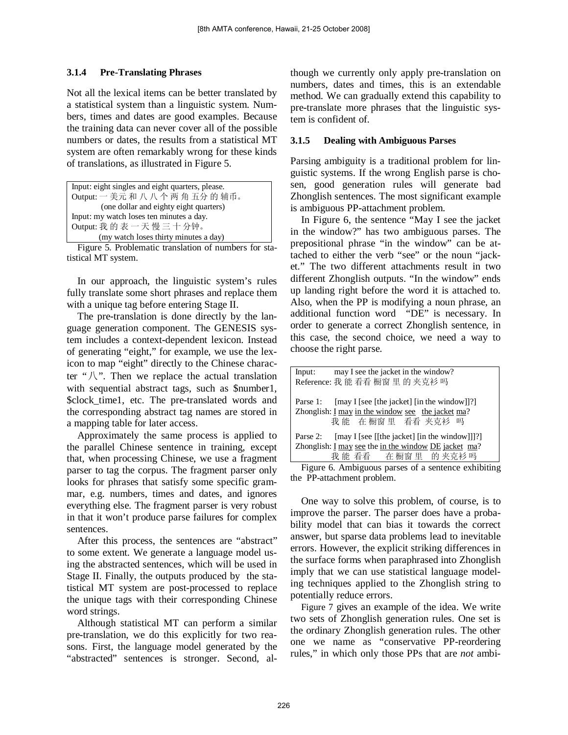# **3.1.4 Pre-Translating Phrases**

Not all the lexical items can be better translated by a statistical system than a linguistic system. Numbers, times and dates are good examples. Because the training data can never cover all of the possible numbers or dates, the results from a statistical MT system are often remarkably wrong for these kinds of translations, as illustrated in [Figure 5.](#page-4-0)

```
Input: eight singles and eight quarters, please.
Output: 一 美元 和 八 八 个 两 角 五分 的 辅币。
        (one dollar and eighty eight quarters)
Input: my watch loses ten minutes a day.
Output: 我 的 表 一 天 慢 三 十 分钟。
        (my watch loses thirty minutes a day)
```
<span id="page-4-0"></span>Figure 5. Problematic translation of numbers for statistical MT system.

In our approach, the linguistic system's rules fully translate some short phrases and replace them with a unique tag before entering Stage II.

The pre-translation is done directly by the language generation component. The GENESIS system includes a context-dependent lexicon. Instead of generating "eight," for example, we use the lexicon to map "eight" directly to the Chinese character " $\sqrt{\ }$ ". Then we replace the actual translation with sequential abstract tags, such as \$number1, \$clock\_time1, etc. The pre-translated words and the corresponding abstract tag names are stored in a mapping table for later access.

Approximately the same process is applied to the parallel Chinese sentence in training, except that, when processing Chinese, we use a fragment parser to tag the corpus. The fragment parser only looks for phrases that satisfy some specific grammar, e.g. numbers, times and dates, and ignores everything else. The fragment parser is very robust in that it won't produce parse failures for complex sentences.

After this process, the sentences are "abstract" to some extent. We generate a language model using the abstracted sentences, which will be used in Stage II. Finally, the outputs produced by the statistical MT system are post-processed to replace the unique tags with their corresponding Chinese word strings.

Although statistical MT can perform a similar pre-translation, we do this explicitly for two reasons. First, the language model generated by the "abstracted" sentences is stronger. Second, although we currently only apply pre-translation on numbers, dates and times, this is an extendable method. We can gradually extend this capability to pre-translate more phrases that the linguistic system is confident of.

# **3.1.5 Dealing with Ambiguous Parses**

Parsing ambiguity is a traditional problem for linguistic systems. If the wrong English parse is chosen, good generation rules will generate bad Zhonglish sentences. The most significant example is ambiguous PP-attachment problem.

In [Figure 6,](#page-4-1) the sentence "May I see the jacket in the window?" has two ambiguous parses. The prepositional phrase "in the window" can be attached to either the verb "see" or the noun "jacket." The two different attachments result in two different Zhonglish outputs. "In the window" ends up landing right before the word it is attached to. Also, when the PP is modifying a noun phrase, an additional function word "DE" is necessary. In order to generate a correct Zhonglish sentence, in this case, the second choice, we need a way to choose the right parse.

| Input: may I see the jacket in the window?                                                                                    |  |  |
|-------------------------------------------------------------------------------------------------------------------------------|--|--|
| Reference: 我 能 看看 橱窗 里 的 夹克衫 吗                                                                                                |  |  |
| Parse 1: [may I [see [the jacket] [in the window]]?]<br>Zhonglish: I may in the window see the jacket ma?<br>我能 在橱窗里 看看 夹克衫 吗 |  |  |
| Parse 2: [may I [see [[the jacket] [in the window]]]?]                                                                        |  |  |
| Zhonglish: I may see the in the window DE jacket ma?                                                                          |  |  |
| 我能看看 在橱窗里 的夹克衫吗                                                                                                               |  |  |

<span id="page-4-1"></span>Figure 6. Ambiguous parses of a sentence exhibiting the PP-attachment problem.

One way to solve this problem, of course, is to improve the parser. The parser does have a probability model that can bias it towards the correct answer, but sparse data problems lead to inevitable errors. However, the explicit striking differences in the surface forms when paraphrased into Zhonglish imply that we can use statistical language modeling techniques applied to the Zhonglish string to potentially reduce errors.

[Figure 7](#page-5-0) gives an example of the idea. We write two sets of Zhonglish generation rules. One set is the ordinary Zhonglish generation rules. The other one we name as "conservative PP-reordering rules," in which only those PPs that are *not* ambi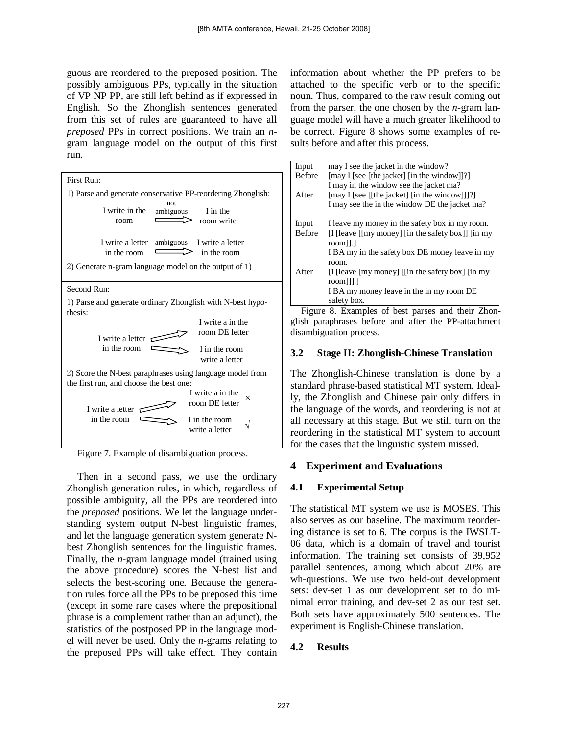guous are reordered to the preposed position. The possibly ambiguous PPs, typically in the situation of VP NP PP, are still left behind as if expressed in English. So the Zhonglish sentences generated from this set of rules are guaranteed to have all *preposed* PPs in correct positions. We train an *n*gram language model on the output of this first run.

| First Run:                                                                                                    |  |  |  |  |
|---------------------------------------------------------------------------------------------------------------|--|--|--|--|
| 1) Parse and generate conservative PP-reordering Zhonglish:                                                   |  |  |  |  |
| not.<br>I write in the<br>I in the<br>ambiguous<br>room write<br>room                                         |  |  |  |  |
| ambiguous<br>I write a letter<br>I write a letter<br>in the room<br>in the room                               |  |  |  |  |
| 2) Generate n-gram language model on the output of 1)                                                         |  |  |  |  |
| Second Run:                                                                                                   |  |  |  |  |
| 1) Parse and generate ordinary Zhonglish with N-best hypo-<br>thesis:                                         |  |  |  |  |
| I write a in the                                                                                              |  |  |  |  |
| room DE letter<br>I write a letter                                                                            |  |  |  |  |
| in the room<br>I in the room<br>write a letter                                                                |  |  |  |  |
| 2) Score the N-best paraphrases using language model from<br>the first run, and choose the best one:          |  |  |  |  |
| I write a in the<br>×<br>room DE letter<br>I write a letter<br>in the room<br>I in the room<br>write a letter |  |  |  |  |

<span id="page-5-0"></span>Figure 7. Example of disambiguation process.

Then in a second pass, we use the ordinary Zhonglish generation rules, in which, regardless of possible ambiguity, all the PPs are reordered into the *preposed* positions. We let the language understanding system output N-best linguistic frames, and let the language generation system generate Nbest Zhonglish sentences for the linguistic frames. Finally, the *n*-gram language model (trained using the above procedure) scores the N-best list and selects the best-scoring one. Because the generation rules force all the PPs to be preposed this time (except in some rare cases where the prepositional phrase is a complement rather than an adjunct), the statistics of the postposed PP in the language model will never be used. Only the *n*-grams relating to the preposed PPs will take effect. They contain information about whether the PP prefers to be attached to the specific verb or to the specific noun. Thus, compared to the raw result coming out from the parser, the one chosen by the *n*-gram language model will have a much greater likelihood to be correct. [Figure 8](#page-5-1) shows some examples of results before and after this process.

| Input         | may I see the jacket in the window?                                                                                   |
|---------------|-----------------------------------------------------------------------------------------------------------------------|
| <b>Before</b> | [may I [see [the jacket] [in the window]]?]                                                                           |
|               | I may in the window see the jacket ma?                                                                                |
| After         | [may I [see [[the jacket] [in the window]]]?]                                                                         |
|               | I may see the in the window DE the jacket ma?                                                                         |
| Input         | I leave my money in the safety box in my room.                                                                        |
| <b>Before</b> | [I [leave $\lceil \text{Im} y \rceil$ money] $\lceil \text{Im} x \rceil$ the safety box]] $\lceil \text{Im} y \rceil$ |
|               | room]].]                                                                                                              |
|               | I BA my in the safety box DE money leave in my                                                                        |
|               | room.                                                                                                                 |
| After         | If I leave $[my]$ money $[(\text{in the safety box})]$ $[\text{in my}]$                                               |
|               | room]]].]                                                                                                             |
|               | I BA my money leave in the in my room DE                                                                              |
|               | safety box.                                                                                                           |

<span id="page-5-1"></span>Figure 8. Examples of best parses and their Zhonglish paraphrases before and after the PP-attachment disambiguation process.

## **3.2 Stage II: Zhonglish-Chinese Translation**

The Zhonglish-Chinese translation is done by a standard phrase-based statistical MT system. Ideally, the Zhonglish and Chinese pair only differs in the language of the words, and reordering is not at all necessary at this stage. But we still turn on the reordering in the statistical MT system to account for the cases that the linguistic system missed.

# **4 Experiment and Evaluations**

# **4.1 Experimental Setup**

The statistical MT system we use is MOSES. This also serves as our baseline. The maximum reordering distance is set to 6. The corpus is the IWSLT-06 data, which is a domain of travel and tourist information. The training set consists of 39,952 parallel sentences, among which about 20% are wh-questions. We use two held-out development sets: dev-set 1 as our development set to do minimal error training, and dev-set 2 as our test set. Both sets have approximately 500 sentences. The experiment is English-Chinese translation.

# **4.2 Results**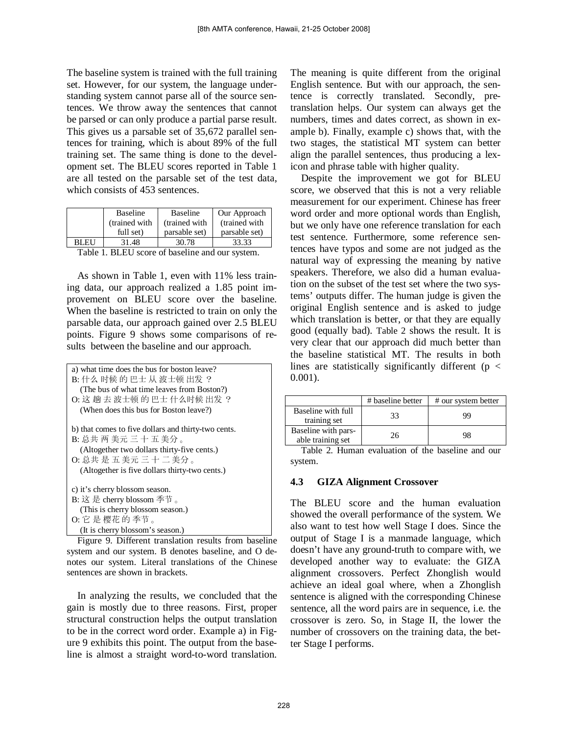<span id="page-6-2"></span>The baseline system is trained with the full training set. However, for our system, the language understanding system cannot parse all of the source sentences. We throw away the sentences that cannot be parsed or can only produce a partial parse result. This gives us a parsable set of 35,672 parallel sentences for training, which is about 89% of the full training set. The same thing is done to the development set. The BLEU scores reported in [Table 1](#page-6-0) are all tested on the parsable set of the test data, which consists of 453 sentences.

|       | <b>Baseline</b> | <b>Baseline</b> | Our Approach   |
|-------|-----------------|-----------------|----------------|
|       | (trained with)  | (trained with)  | (trained with) |
|       | full set)       | parsable set)   | parsable set)  |
| BL EU | 31.48           | 30.78           | 33.33          |

<span id="page-6-0"></span>Table 1. BLEU score of baseline and our system.

As shown in [Table 1,](#page-6-0) even with 11% less training data, our approach realized a 1.85 point improvement on BLEU score over the baseline. When the baseline is restricted to train on only the parsable data, our approach gained over 2.5 BLEU points. [Figure 9](#page-6-1) shows some comparisons of results between the baseline and our approach.

```
a) what time does the bus for boston leave?
B: 什么 时候 的 巴士 从 波士顿 出发 ?
   (The bus of what time leaves from Boston?)
O: 这 趟 去 波士顿 的 巴士 什么时候 出发 ?
   (When does this bus for Boston leave?)
b) that comes to five dollars and thirty-two cents.
B: 总共 两 美元 三 十 五 美分 。
   (Altogether two dollars thirty-five cents.)
O: 总共 是 五 美元 三 十 二 美分 。
   (Altogether is five dollars thirty-two cents.)
c) it's cherry blossom season.
B: 这 是 cherry blossom 季节 。
   (This is cherry blossom season.)
O: 它 是 樱花 的 季节 。
   (It is cherry blossom's season.)
```
<span id="page-6-1"></span>Figure 9. Different translation results from baseline system and our system. B denotes baseline, and O denotes our system. Literal translations of the Chinese sentences are shown in brackets.

In analyzing the results, we concluded that the gain is mostly due to three reasons. First, proper structural construction helps the output translation to be in the correct word order. Example a) in [Fig](#page-6-1)[ure 9](#page-6-1) exhibits this point. The output from the baseline is almost a straight word-to-word translation.

The meaning is quite different from the original English sentence. But with our approach, the sentence is correctly translated. Secondly, pretranslation helps. Our system can always get the numbers, times and dates correct, as shown in example b). Finally, example c) shows that, with the two stages, the statistical MT system can better align the parallel sentences, thus producing a lexicon and phrase table with higher quality.

Despite the improvement we got for BLEU score, we observed that this is not a very reliable measurement for our experiment. Chinese has freer word order and more optional words than English, but we only have one reference translation for each test sentence. Furthermore, some reference sentences have typos and some are not judged as the natural way of expressing the meaning by native speakers. Therefore, we also did a human evaluation on the subset of the test set where the two systems' outputs differ. The human judge is given the original English sentence and is asked to judge which translation is better, or that they are equally good (equally bad). [Table 2](#page-6-2) shows the result. It is very clear that our approach did much better than the baseline statistical MT. The results in both lines are statistically significantly different ( $p <$ 0.001).

|                                          | # baseline better | # our system better |
|------------------------------------------|-------------------|---------------------|
| Baseline with full<br>training set       | 33                | 99                  |
| Baseline with pars-<br>able training set | 26                | 98                  |
|                                          |                   |                     |

Table 2. Human evaluation of the baseline and our system.

### **4.3 GIZA Alignment Crossover**

The BLEU score and the human evaluation showed the overall performance of the system. We also want to test how well Stage I does. Since the output of Stage I is a manmade language, which doesn't have any ground-truth to compare with, we developed another way to evaluate: the GIZA alignment crossovers. Perfect Zhonglish would achieve an ideal goal where, when a Zhonglish sentence is aligned with the corresponding Chinese sentence, all the word pairs are in sequence, i.e. the crossover is zero. So, in Stage II, the lower the number of crossovers on the training data, the better Stage I performs.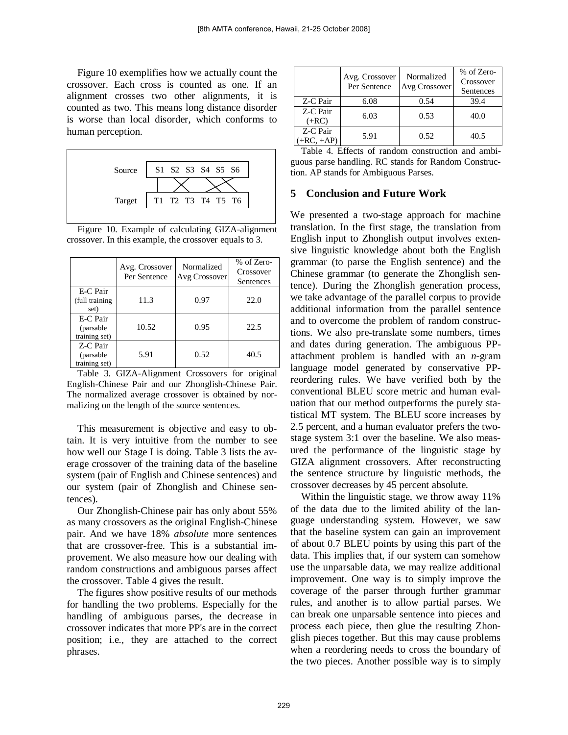<span id="page-7-2"></span>[Figure 10](#page-7-0) exemplifies how we actually count the crossover. Each cross is counted as one. If an alignment crosses two other alignments, it is counted as two. This means long distance disorder is worse than local disorder, which conforms to human perception.



<span id="page-7-0"></span>Figure 10. Example of calculating GIZA-alignment crossover. In this example, the crossover equals to 3.

|                                         | Avg. Crossover<br>Per Sentence | Normalized<br>Avg Crossover | % of Zero-<br>Crossover<br>Sentences |
|-----------------------------------------|--------------------------------|-----------------------------|--------------------------------------|
| E-C Pair<br>(full training<br>set)      | 11.3                           | 0.97                        | 22.0                                 |
| E-C Pair<br>(parsable)<br>training set) | 10.52                          | 0.95                        | 22.5                                 |
| Z-C Pair<br>(parsable)<br>training set) | 5.91                           | 0.52                        | 40.5                                 |

<span id="page-7-1"></span>Table 3. GIZA-Alignment Crossovers for original English-Chinese Pair and our Zhonglish-Chinese Pair. The normalized average crossover is obtained by normalizing on the length of the source sentences.

This measurement is objective and easy to obtain. It is very intuitive from the number to see how well our Stage I is doing. [Table 3](#page-7-1) lists the average crossover of the training data of the baseline system (pair of English and Chinese sentences) and our system (pair of Zhonglish and Chinese sentences).

Our Zhonglish-Chinese pair has only about 55% as many crossovers as the original English-Chinese pair. And we have 18% *absolute* more sentences that are crossover-free. This is a substantial improvement. We also measure how our dealing with random constructions and ambiguous parses affect the crossover. [Table 4](#page-7-2) gives the result.

The figures show positive results of our methods for handling the two problems. Especially for the handling of ambiguous parses, the decrease in crossover indicates that more PP's are in the correct position; i.e., they are attached to the correct phrases.

|                          | Avg. Crossover<br>Per Sentence | Normalized<br>Avg Crossover | % of Zero-<br>Crossover<br>Sentences |
|--------------------------|--------------------------------|-----------------------------|--------------------------------------|
| Z-C Pair                 | 6.08                           | 0.54                        | 39.4                                 |
| Z-C Pair<br>$(+RC)$      | 6.03                           | 0.53                        | 40.0                                 |
| Z-C Pair<br>$(+RC, +AP)$ | 5.91                           | 0.52                        | 40.5                                 |

Table 4. Effects of random construction and ambiguous parse handling. RC stands for Random Construction. AP stands for Ambiguous Parses.

## **5 Conclusion and Future Work**

We presented a two-stage approach for machine translation. In the first stage, the translation from English input to Zhonglish output involves extensive linguistic knowledge about both the English grammar (to parse the English sentence) and the Chinese grammar (to generate the Zhonglish sentence). During the Zhonglish generation process, we take advantage of the parallel corpus to provide additional information from the parallel sentence and to overcome the problem of random constructions. We also pre-translate some numbers, times and dates during generation. The ambiguous PPattachment problem is handled with an *n*-gram language model generated by conservative PPreordering rules. We have verified both by the conventional BLEU score metric and human evaluation that our method outperforms the purely statistical MT system. The BLEU score increases by 2.5 percent, and a human evaluator prefers the twostage system 3:1 over the baseline. We also measured the performance of the linguistic stage by GIZA alignment crossovers. After reconstructing the sentence structure by linguistic methods, the crossover decreases by 45 percent absolute.

Within the linguistic stage, we throw away 11% of the data due to the limited ability of the language understanding system. However, we saw that the baseline system can gain an improvement of about 0.7 BLEU points by using this part of the data. This implies that, if our system can somehow use the unparsable data, we may realize additional improvement. One way is to simply improve the coverage of the parser through further grammar rules, and another is to allow partial parses. We can break one unparsable sentence into pieces and process each piece, then glue the resulting Zhonglish pieces together. But this may cause problems when a reordering needs to cross the boundary of the two pieces. Another possible way is to simply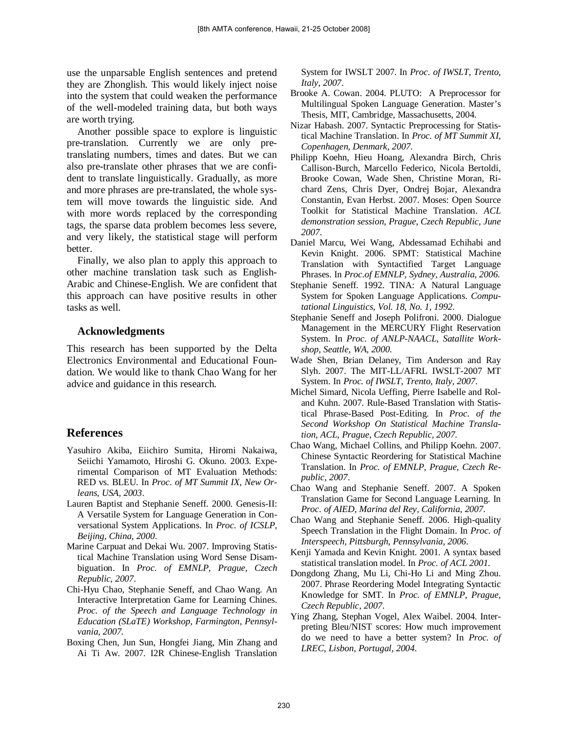use the unparsable English sentences and pretend they are Zhonglish. This would likely inject noise into the system that could weaken the performance of the well-modeled training data, but both ways are worth trying.

Another possible space to explore is linguistic pre-translation. Currently we are only pretranslating numbers, times and dates. But we can also pre-translate other phrases that we are confident to translate linguistically. Gradually, as more and more phrases are pre-translated, the whole system will move towards the linguistic side. And with more words replaced by the corresponding tags, the sparse data problem becomes less severe, and very likely, the statistical stage will perform better.

Finally, we also plan to apply this approach to other machine translation task such as English-Arabic and Chinese-English. We are confident that this approach can have positive results in other tasks as well.

#### **Acknowledgments**

This research has been supported by the Delta Electronics Environmental and Educational Foundation. We would like to thank Chao Wang for her advice and guidance in this research.

# **References**

- Yasuhiro Akiba, Eiichiro Sumita, Hiromi Nakaiwa, Seiichi Yamamoto, Hiroshi G. Okuno. 2003. Experimental Comparison of MT Evaluation Methods: RED vs. BLEU. In *Proc. of MT Summit IX, New Orleans, USA, 2003*.
- Lauren Baptist and Stephanie Seneff. 2000. Genesis-II: A Versatile System for Language Generation in Conversational System Applications. In *Proc. of ICSLP, Beijing, China, 2000*.
- Marine Carpuat and Dekai Wu. 2007. Improving Statistical Machine Translation using Word Sense Disambiguation. In *Proc. of EMNLP, Prague, Czech Republic, 2007*.
- Chi-Hyu Chao, Stephanie Seneff, and Chao Wang. An Interactive Interpretation Game for Learning Chines. *Proc. of the Speech and Language Technology in Education (SLaTE) Workshop, Farmington, Pennsylvania, 2007*.
- Boxing Chen, Jun Sun, Hongfei Jiang, Min Zhang and Ai Ti Aw. 2007. I2R Chinese-English Translation

System for IWSLT 2007. In *Proc. of IWSLT, Trento, Italy, 2007*.

- Brooke A. Cowan. 2004. PLUTO: A Preprocessor for Multilingual Spoken Language Generation. Master's Thesis, MIT, Cambridge, Massachusetts, 2004.
- Nizar Habash. 2007. Syntactic Preprocessing for Statistical Machine Translation. In *Proc. of MT Summit XI, Copenhagen, Denmark, 2007*.
- Philipp Koehn, Hieu Hoang, Alexandra Birch, Chris Callison-Burch, Marcello Federico, Nicola Bertoldi, Brooke Cowan, Wade Shen, Christine Moran, Richard Zens, Chris Dyer, Ondrej Bojar, Alexandra Constantin, Evan Herbst. 2007. Moses: Open Source Toolkit for Statistical Machine Translation. *ACL demonstration session, Prague, Czech Republic, June 2007*.
- Daniel Marcu, Wei Wang, Abdessamad Echihabi and Kevin Knight. 2006. SPMT: Statistical Machine Translation with Syntactified Target Language Phrases. In *Proc.of EMNLP, Sydney, Australia, 2006*.
- Stephanie Seneff. 1992. TINA: A Natural Language System for Spoken Language Applications. *Computational Linguistics, Vol. 18, No. 1, 1992*.
- Stephanie Seneff and Joseph Polifroni. 2000. Dialogue Management in the MERCURY Flight Reservation System. In *Proc. of ANLP-NAACL, Satallite Workshop, Seattle, WA, 2000*.
- Wade Shen, Brian Delaney, Tim Anderson and Ray Slyh. 2007. The MIT-LL/AFRL IWSLT-2007 MT System. In *Proc. of IWSLT, Trento, Italy, 2007*.
- Michel Simard, Nicola Ueffing, Pierre Isabelle and Roland Kuhn. 2007. Rule-Based Translation with Statistical Phrase-Based Post-Editing. In *Proc. of the Second Workshop On Statistical Machine Translation, ACL, Prague, Czech Republic, 2007*.
- Chao Wang, Michael Collins, and Philipp Koehn. 2007. Chinese Syntactic Reordering for Statistical Machine Translation. In *Proc. of EMNLP, Prague, Czech Republic, 2007*.
- Chao Wang and Stephanie Seneff. 2007. A Spoken Translation Game for Second Language Learning. In *Proc. of AIED, Marina del Rey, California, 2007*.
- Chao Wang and Stephanie Seneff. 2006. High-quality Speech Translation in the Flight Domain. In *Proc. of Interspeech, Pittsburgh, Pennsylvania, 2006*.
- Kenji Yamada and Kevin Knight. 2001. A syntax based statistical translation model. In *Proc. of ACL 2001*.
- Dongdong Zhang, Mu Li, Chi-Ho Li and Ming Zhou. 2007. Phrase Reordering Model Integrating Syntactic Knowledge for SMT. In *Proc. of EMNLP, Prague, Czech Republic, 2007*.
- Ying Zhang, Stephan Vogel, Alex Waibel. 2004. Interpreting Bleu/NIST scores: How much improvement do we need to have a better system? In *Proc. of LREC, Lisbon, Portugal, 2004*.